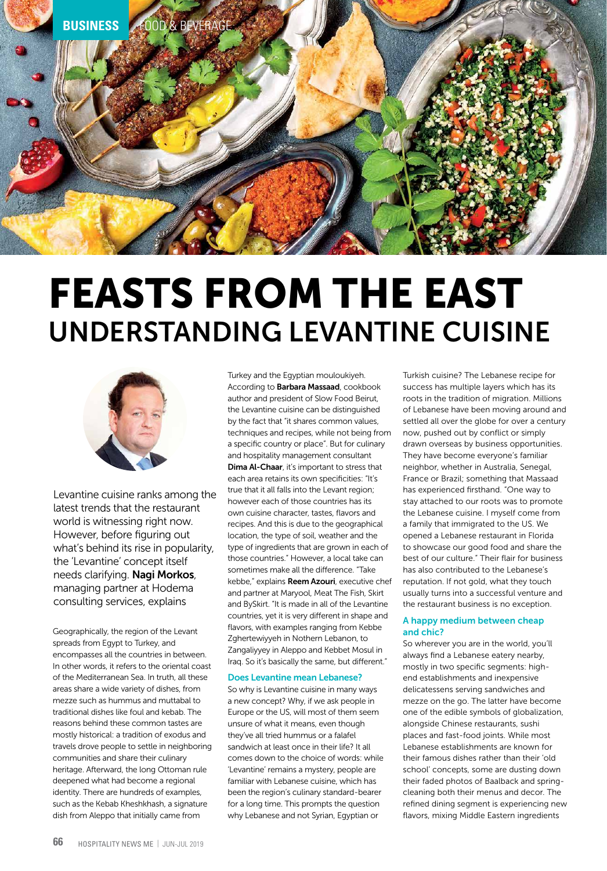

# FEASTS FROM THE EAST UNDERSTANDING LEVANTINE CUISINE



Levantine cuisine ranks among the latest trends that the restaurant world is witnessing right now. However, before figuring out what's behind its rise in popularity, the 'Levantine' concept itself needs clarifying. Nagi Morkos, managing partner at Hodema consulting services, explains

Geographically, the region of the Levant spreads from Egypt to Turkey, and encompasses all the countries in between. In other words, it refers to the oriental coast of the Mediterranean Sea. In truth, all these areas share a wide variety of dishes, from mezze such as hummus and muttabal to traditional dishes like foul and kebab. The reasons behind these common tastes are mostly historical: a tradition of exodus and travels drove people to settle in neighboring communities and share their culinary heritage. Afterward, the long Ottoman rule deepened what had become a regional identity. There are hundreds of examples, such as the Kebab Kheshkhash, a signature dish from Aleppo that initially came from

Turkey and the Egyptian mouloukiyeh. According to Barbara Massaad, cookbook author and president of Slow Food Beirut, the Levantine cuisine can be distinguished by the fact that "it shares common values, techniques and recipes, while not being from a specific country or place". But for culinary and hospitality management consultant Dima Al-Chaar, it's important to stress that each area retains its own specificities: "It's true that it all falls into the Levant region; however each of those countries has its own cuisine character, tastes, flavors and recipes. And this is due to the geographical location, the type of soil, weather and the type of ingredients that are grown in each of those countries." However, a local take can sometimes make all the difference. "Take kebbe," explains Reem Azouri, executive chef and partner at Maryool, Meat The Fish, Skirt and BySkirt. "It is made in all of the Levantine countries, yet it is very different in shape and flavors, with examples ranging from Kebbe Zghertewiyyeh in Nothern Lebanon, to Zangaliyyey in Aleppo and Kebbet Mosul in Iraq. So it's basically the same, but different."

## Does Levantine mean Lebanese?

So why is Levantine cuisine in many ways a new concept? Why, if we ask people in Europe or the US, will most of them seem unsure of what it means, even though they've all tried hummus or a falafel sandwich at least once in their life? It all comes down to the choice of words: while 'Levantine' remains a mystery, people are familiar with Lebanese cuisine, which has been the region's culinary standard-bearer for a long time. This prompts the question why Lebanese and not Syrian, Egyptian or

Turkish cuisine? The Lebanese recipe for success has multiple layers which has its roots in the tradition of migration. Millions of Lebanese have been moving around and settled all over the globe for over a century now, pushed out by conflict or simply drawn overseas by business opportunities. They have become everyone's familiar neighbor, whether in Australia, Senegal, France or Brazil; something that Massaad has experienced firsthand. "One way to stay attached to our roots was to promote the Lebanese cuisine. I myself come from a family that immigrated to the US. We opened a Lebanese restaurant in Florida to showcase our good food and share the best of our culture." Their flair for business has also contributed to the Lebanese's reputation. If not gold, what they touch usually turns into a successful venture and the restaurant business is no exception.

### A happy medium between cheap and chic?

So wherever you are in the world, you'll always find a Lebanese eatery nearby, mostly in two specific segments: highend establishments and inexpensive delicatessens serving sandwiches and mezze on the go. The latter have become one of the edible symbols of globalization, alongside Chinese restaurants, sushi places and fast-food joints. While most Lebanese establishments are known for their famous dishes rather than their 'old school' concepts, some are dusting down their faded photos of Baalback and springcleaning both their menus and decor. The refined dining segment is experiencing new flavors, mixing Middle Eastern ingredients